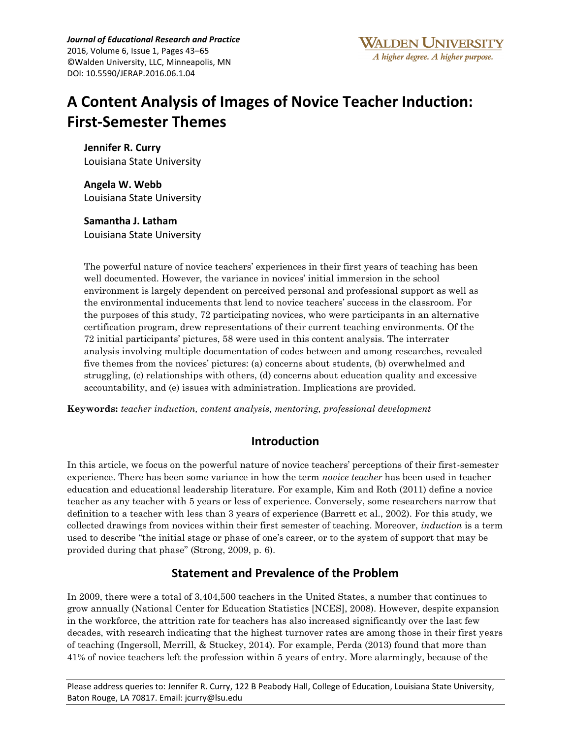*Journal of Educational Research and Practice* 2016, Volume 6, Issue 1, Pages 43–65 ©Walden University, LLC, Minneapolis, MN DOI: 10.5590/JERAP.2016.06.1.04

# **A Content Analysis of Images of Novice Teacher Induction: First-Semester Themes**

**Jennifer R. Curry** Louisiana State University

**Angela W. Webb** Louisiana State University

**Samantha J. Latham** Louisiana State University

The powerful nature of novice teachers' experiences in their first years of teaching has been well documented. However, the variance in novices' initial immersion in the school environment is largely dependent on perceived personal and professional support as well as the environmental inducements that lend to novice teachers' success in the classroom. For the purposes of this study, 72 participating novices, who were participants in an alternative certification program, drew representations of their current teaching environments. Of the 72 initial participants' pictures, 58 were used in this content analysis. The interrater analysis involving multiple documentation of codes between and among researches, revealed five themes from the novices' pictures: (a) concerns about students, (b) overwhelmed and struggling, (c) relationships with others, (d) concerns about education quality and excessive accountability, and (e) issues with administration. Implications are provided.

**Keywords:** *teacher induction, content analysis, mentoring, professional development*

# **Introduction**

In this article, we focus on the powerful nature of novice teachers' perceptions of their first-semester experience. There has been some variance in how the term *novice teacher* has been used in teacher education and educational leadership literature. For example, Kim and Roth (2011) define a novice teacher as any teacher with 5 years or less of experience. Conversely, some researchers narrow that definition to a teacher with less than 3 years of experience (Barrett et al., 2002). For this study, we collected drawings from novices within their first semester of teaching. Moreover, *induction* is a term used to describe "the initial stage or phase of one's career, or to the system of support that may be provided during that phase" (Strong, 2009, p. 6).

# **Statement and Prevalence of the Problem**

In 2009, there were a total of 3,404,500 teachers in the United States, a number that continues to grow annually (National Center for Education Statistics [NCES], 2008). However, despite expansion in the workforce, the attrition rate for teachers has also increased significantly over the last few decades, with research indicating that the highest turnover rates are among those in their first years of teaching (Ingersoll, Merrill, & Stuckey, 2014). For example, Perda (2013) found that more than 41% of novice teachers left the profession within 5 years of entry. More alarmingly, because of the

Please address queries to: Jennifer R. Curry, 122 B Peabody Hall, College of Education, Louisiana State University, Baton Rouge, LA 70817. Email: jcurry@lsu.edu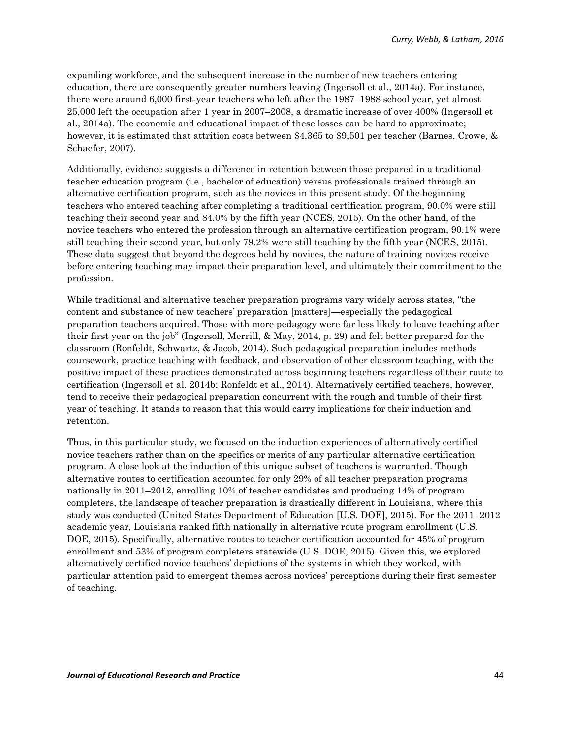expanding workforce, and the subsequent increase in the number of new teachers entering education, there are consequently greater numbers leaving (Ingersoll et al., 2014a). For instance, there were around 6,000 first-year teachers who left after the 1987–1988 school year, yet almost 25,000 left the occupation after 1 year in 2007–2008, a dramatic increase of over 400% (Ingersoll et al., 2014a). The economic and educational impact of these losses can be hard to approximate; however, it is estimated that attrition costs between \$4,365 to \$9,501 per teacher (Barnes, Crowe, & Schaefer, 2007).

Additionally, evidence suggests a difference in retention between those prepared in a traditional teacher education program (i.e., bachelor of education) versus professionals trained through an alternative certification program, such as the novices in this present study. Of the beginning teachers who entered teaching after completing a traditional certification program, 90.0% were still teaching their second year and 84.0% by the fifth year (NCES, 2015). On the other hand, of the novice teachers who entered the profession through an alternative certification program, 90.1% were still teaching their second year, but only 79.2% were still teaching by the fifth year (NCES, 2015). These data suggest that beyond the degrees held by novices, the nature of training novices receive before entering teaching may impact their preparation level, and ultimately their commitment to the profession.

While traditional and alternative teacher preparation programs vary widely across states, "the content and substance of new teachers' preparation [matters]—especially the pedagogical preparation teachers acquired. Those with more pedagogy were far less likely to leave teaching after their first year on the job" (Ingersoll, Merrill, & May, 2014, p. 29) and felt better prepared for the classroom (Ronfeldt, Schwartz, & Jacob, 2014). Such pedagogical preparation includes methods coursework, practice teaching with feedback, and observation of other classroom teaching, with the positive impact of these practices demonstrated across beginning teachers regardless of their route to certification (Ingersoll et al. 2014b; Ronfeldt et al., 2014). Alternatively certified teachers, however, tend to receive their pedagogical preparation concurrent with the rough and tumble of their first year of teaching. It stands to reason that this would carry implications for their induction and retention.

Thus, in this particular study, we focused on the induction experiences of alternatively certified novice teachers rather than on the specifics or merits of any particular alternative certification program. A close look at the induction of this unique subset of teachers is warranted. Though alternative routes to certification accounted for only 29% of all teacher preparation programs nationally in 2011–2012, enrolling 10% of teacher candidates and producing 14% of program completers, the landscape of teacher preparation is drastically different in Louisiana, where this study was conducted (United States Department of Education [U.S. DOE], 2015). For the 2011–2012 academic year, Louisiana ranked fifth nationally in alternative route program enrollment (U.S. DOE, 2015). Specifically, alternative routes to teacher certification accounted for 45% of program enrollment and 53% of program completers statewide (U.S. DOE, 2015). Given this, we explored alternatively certified novice teachers' depictions of the systems in which they worked, with particular attention paid to emergent themes across novices' perceptions during their first semester of teaching.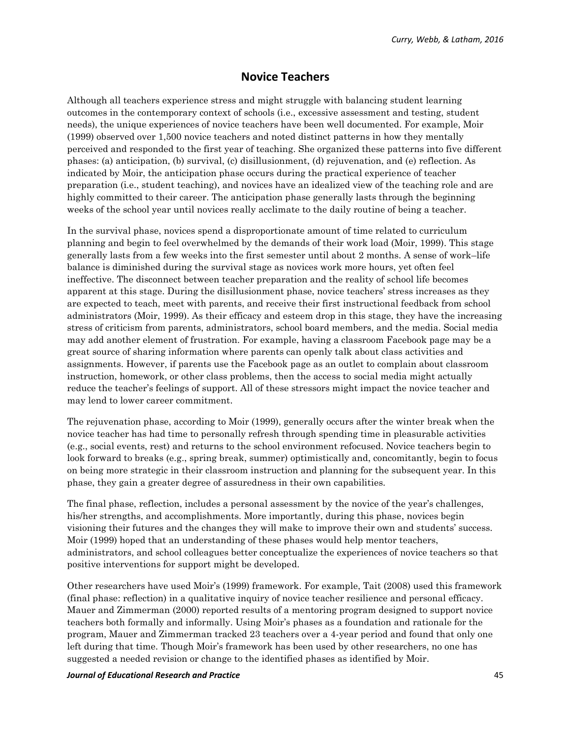### **Novice Teachers**

Although all teachers experience stress and might struggle with balancing student learning outcomes in the contemporary context of schools (i.e., excessive assessment and testing, student needs), the unique experiences of novice teachers have been well documented. For example, Moir (1999) observed over 1,500 novice teachers and noted distinct patterns in how they mentally perceived and responded to the first year of teaching. She organized these patterns into five different phases: (a) anticipation, (b) survival, (c) disillusionment, (d) rejuvenation, and (e) reflection. As indicated by Moir, the anticipation phase occurs during the practical experience of teacher preparation (i.e., student teaching), and novices have an idealized view of the teaching role and are highly committed to their career. The anticipation phase generally lasts through the beginning weeks of the school year until novices really acclimate to the daily routine of being a teacher.

In the survival phase, novices spend a disproportionate amount of time related to curriculum planning and begin to feel overwhelmed by the demands of their work load (Moir, 1999). This stage generally lasts from a few weeks into the first semester until about 2 months. A sense of work–life balance is diminished during the survival stage as novices work more hours, yet often feel ineffective. The disconnect between teacher preparation and the reality of school life becomes apparent at this stage. During the disillusionment phase, novice teachers' stress increases as they are expected to teach, meet with parents, and receive their first instructional feedback from school administrators (Moir, 1999). As their efficacy and esteem drop in this stage, they have the increasing stress of criticism from parents, administrators, school board members, and the media. Social media may add another element of frustration. For example, having a classroom Facebook page may be a great source of sharing information where parents can openly talk about class activities and assignments. However, if parents use the Facebook page as an outlet to complain about classroom instruction, homework, or other class problems, then the access to social media might actually reduce the teacher's feelings of support. All of these stressors might impact the novice teacher and may lend to lower career commitment.

The rejuvenation phase, according to Moir (1999), generally occurs after the winter break when the novice teacher has had time to personally refresh through spending time in pleasurable activities (e.g., social events, rest) and returns to the school environment refocused. Novice teachers begin to look forward to breaks (e.g., spring break, summer) optimistically and, concomitantly, begin to focus on being more strategic in their classroom instruction and planning for the subsequent year. In this phase, they gain a greater degree of assuredness in their own capabilities.

The final phase, reflection, includes a personal assessment by the novice of the year's challenges, his/her strengths, and accomplishments. More importantly, during this phase, novices begin visioning their futures and the changes they will make to improve their own and students' success. Moir (1999) hoped that an understanding of these phases would help mentor teachers, administrators, and school colleagues better conceptualize the experiences of novice teachers so that positive interventions for support might be developed.

Other researchers have used Moir's (1999) framework. For example, Tait (2008) used this framework (final phase: reflection) in a qualitative inquiry of novice teacher resilience and personal efficacy. Mauer and Zimmerman (2000) reported results of a mentoring program designed to support novice teachers both formally and informally. Using Moir's phases as a foundation and rationale for the program, Mauer and Zimmerman tracked 23 teachers over a 4-year period and found that only one left during that time. Though Moir's framework has been used by other researchers, no one has suggested a needed revision or change to the identified phases as identified by Moir.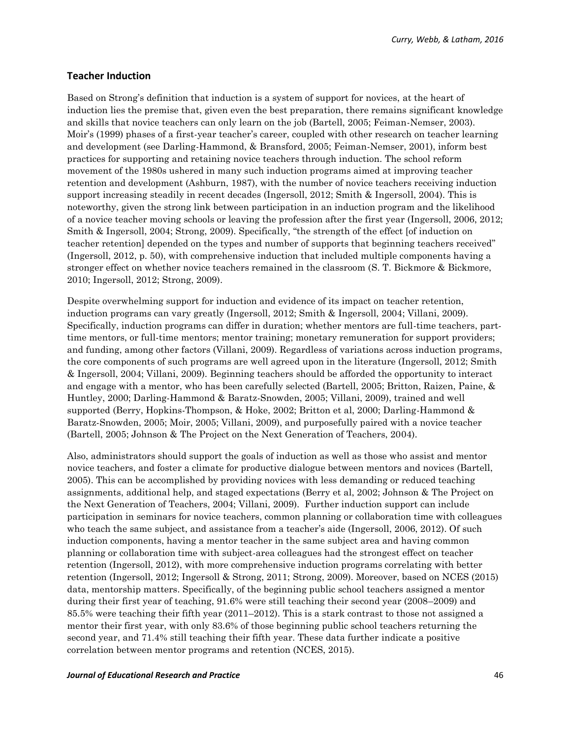#### **Teacher Induction**

Based on Strong's definition that induction is a system of support for novices, at the heart of induction lies the premise that, given even the best preparation, there remains significant knowledge and skills that novice teachers can only learn on the job (Bartell, 2005; Feiman-Nemser, 2003). Moir's (1999) phases of a first-year teacher's career, coupled with other research on teacher learning and development (see Darling-Hammond, & Bransford, 2005; Feiman-Nemser, 2001), inform best practices for supporting and retaining novice teachers through induction. The school reform movement of the 1980s ushered in many such induction programs aimed at improving teacher retention and development (Ashburn, 1987), with the number of novice teachers receiving induction support increasing steadily in recent decades (Ingersoll, 2012; Smith & Ingersoll, 2004). This is noteworthy, given the strong link between participation in an induction program and the likelihood of a novice teacher moving schools or leaving the profession after the first year (Ingersoll, 2006, 2012; Smith & Ingersoll, 2004; Strong, 2009). Specifically, "the strength of the effect [of induction on teacher retention] depended on the types and number of supports that beginning teachers received" (Ingersoll, 2012, p. 50), with comprehensive induction that included multiple components having a stronger effect on whether novice teachers remained in the classroom (S. T. Bickmore & Bickmore, 2010; Ingersoll, 2012; Strong, 2009).

Despite overwhelming support for induction and evidence of its impact on teacher retention, induction programs can vary greatly (Ingersoll, 2012; Smith & Ingersoll, 2004; Villani, 2009). Specifically, induction programs can differ in duration; whether mentors are full-time teachers, parttime mentors, or full-time mentors; mentor training; monetary remuneration for support providers; and funding, among other factors (Villani, 2009). Regardless of variations across induction programs, the core components of such programs are well agreed upon in the literature (Ingersoll, 2012; Smith & Ingersoll, 2004; Villani, 2009). Beginning teachers should be afforded the opportunity to interact and engage with a mentor, who has been carefully selected (Bartell, 2005; Britton, Raizen, Paine, & Huntley, 2000; Darling-Hammond & Baratz-Snowden, 2005; Villani, 2009), trained and well supported (Berry, Hopkins-Thompson, & Hoke, 2002; Britton et al, 2000; Darling-Hammond & Baratz-Snowden, 2005; Moir, 2005; Villani, 2009), and purposefully paired with a novice teacher (Bartell, 2005; Johnson & The Project on the Next Generation of Teachers, 2004).

Also, administrators should support the goals of induction as well as those who assist and mentor novice teachers, and foster a climate for productive dialogue between mentors and novices (Bartell, 2005). This can be accomplished by providing novices with less demanding or reduced teaching assignments, additional help, and staged expectations (Berry et al, 2002; Johnson & The Project on the Next Generation of Teachers, 2004; Villani, 2009). Further induction support can include participation in seminars for novice teachers, common planning or collaboration time with colleagues who teach the same subject, and assistance from a teacher's aide (Ingersoll, 2006, 2012). Of such induction components, having a mentor teacher in the same subject area and having common planning or collaboration time with subject-area colleagues had the strongest effect on teacher retention (Ingersoll, 2012), with more comprehensive induction programs correlating with better retention (Ingersoll, 2012; Ingersoll & Strong, 2011; Strong, 2009). Moreover, based on NCES (2015) data, mentorship matters. Specifically, of the beginning public school teachers assigned a mentor during their first year of teaching, 91.6% were still teaching their second year (2008–2009) and 85.5% were teaching their fifth year (2011–2012). This is a stark contrast to those not assigned a mentor their first year, with only 83.6% of those beginning public school teachers returning the second year, and 71.4% still teaching their fifth year. These data further indicate a positive correlation between mentor programs and retention (NCES, 2015).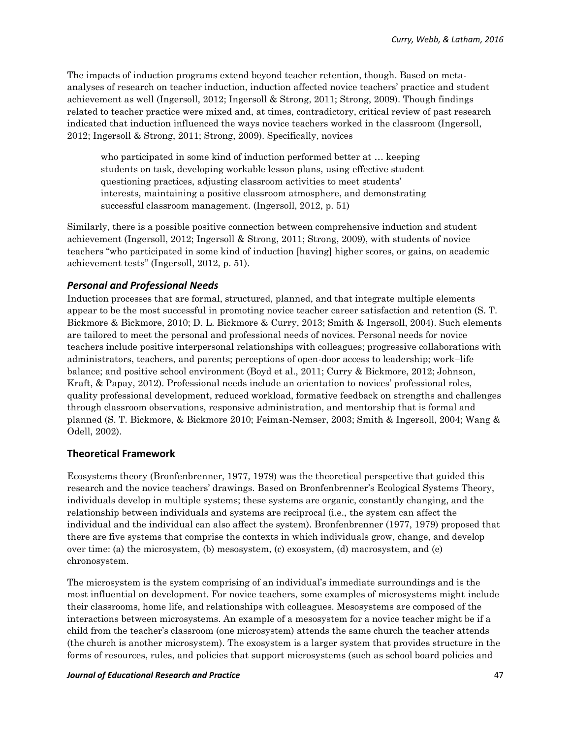The impacts of induction programs extend beyond teacher retention, though. Based on metaanalyses of research on teacher induction, induction affected novice teachers' practice and student achievement as well (Ingersoll, 2012; Ingersoll & Strong, 2011; Strong, 2009). Though findings related to teacher practice were mixed and, at times, contradictory, critical review of past research indicated that induction influenced the ways novice teachers worked in the classroom (Ingersoll, 2012; Ingersoll & Strong, 2011; Strong, 2009). Specifically, novices

who participated in some kind of induction performed better at … keeping students on task, developing workable lesson plans, using effective student questioning practices, adjusting classroom activities to meet students' interests, maintaining a positive classroom atmosphere, and demonstrating successful classroom management. (Ingersoll, 2012, p. 51)

Similarly, there is a possible positive connection between comprehensive induction and student achievement (Ingersoll, 2012; Ingersoll & Strong, 2011; Strong, 2009), with students of novice teachers "who participated in some kind of induction [having] higher scores, or gains, on academic achievement tests" (Ingersoll, 2012, p. 51).

### *Personal and Professional Needs*

Induction processes that are formal, structured, planned, and that integrate multiple elements appear to be the most successful in promoting novice teacher career satisfaction and retention (S. T. Bickmore & Bickmore, 2010; D. L. Bickmore & Curry, 2013; Smith & Ingersoll, 2004). Such elements are tailored to meet the personal and professional needs of novices. Personal needs for novice teachers include positive interpersonal relationships with colleagues; progressive collaborations with administrators, teachers, and parents; perceptions of open-door access to leadership; work–life balance; and positive school environment (Boyd et al., 2011; Curry & Bickmore, 2012; Johnson, Kraft, & Papay, 2012). Professional needs include an orientation to novices' professional roles, quality professional development, reduced workload, formative feedback on strengths and challenges through classroom observations, responsive administration, and mentorship that is formal and planned (S. T. Bickmore, & Bickmore 2010; Feiman-Nemser, 2003; Smith & Ingersoll, 2004; Wang & Odell, 2002).

#### **Theoretical Framework**

Ecosystems theory (Bronfenbrenner, 1977, 1979) was the theoretical perspective that guided this research and the novice teachers' drawings. Based on Bronfenbrenner's Ecological Systems Theory, individuals develop in multiple systems; these systems are organic, constantly changing, and the relationship between individuals and systems are reciprocal (i.e., the system can affect the individual and the individual can also affect the system). Bronfenbrenner (1977, 1979) proposed that there are five systems that comprise the contexts in which individuals grow, change, and develop over time: (a) the microsystem, (b) mesosystem, (c) exosystem, (d) macrosystem, and (e) chronosystem.

The microsystem is the system comprising of an individual's immediate surroundings and is the most influential on development. For novice teachers, some examples of microsystems might include their classrooms, home life, and relationships with colleagues. Mesosystems are composed of the interactions between microsystems. An example of a mesosystem for a novice teacher might be if a child from the teacher's classroom (one microsystem) attends the same church the teacher attends (the church is another microsystem). The exosystem is a larger system that provides structure in the forms of resources, rules, and policies that support microsystems (such as school board policies and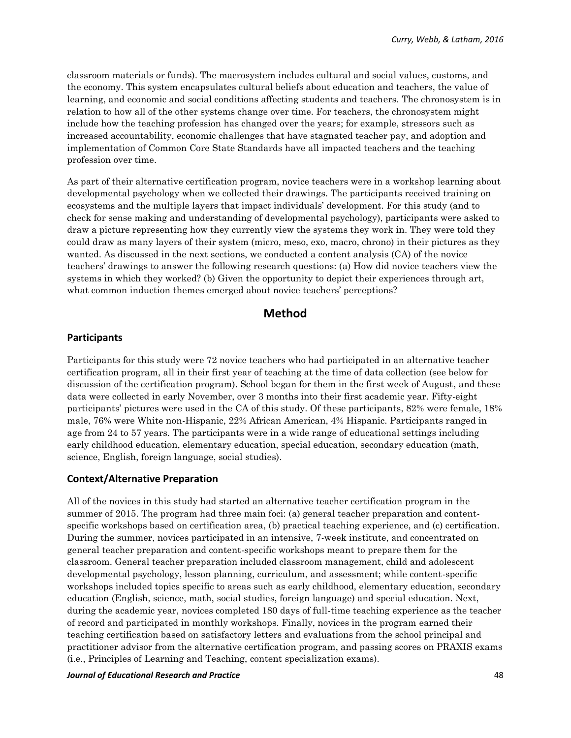classroom materials or funds). The macrosystem includes cultural and social values, customs, and the economy. This system encapsulates cultural beliefs about education and teachers, the value of learning, and economic and social conditions affecting students and teachers. The chronosystem is in relation to how all of the other systems change over time. For teachers, the chronosystem might include how the teaching profession has changed over the years; for example, stressors such as increased accountability, economic challenges that have stagnated teacher pay, and adoption and implementation of Common Core State Standards have all impacted teachers and the teaching profession over time.

As part of their alternative certification program, novice teachers were in a workshop learning about developmental psychology when we collected their drawings. The participants received training on ecosystems and the multiple layers that impact individuals' development. For this study (and to check for sense making and understanding of developmental psychology), participants were asked to draw a picture representing how they currently view the systems they work in. They were told they could draw as many layers of their system (micro, meso, exo, macro, chrono) in their pictures as they wanted. As discussed in the next sections, we conducted a content analysis (CA) of the novice teachers' drawings to answer the following research questions: (a) How did novice teachers view the systems in which they worked? (b) Given the opportunity to depict their experiences through art, what common induction themes emerged about novice teachers' perceptions?

### **Method**

#### **Participants**

Participants for this study were 72 novice teachers who had participated in an alternative teacher certification program, all in their first year of teaching at the time of data collection (see below for discussion of the certification program). School began for them in the first week of August, and these data were collected in early November, over 3 months into their first academic year. Fifty-eight participants' pictures were used in the CA of this study. Of these participants, 82% were female, 18% male, 76% were White non-Hispanic, 22% African American, 4% Hispanic. Participants ranged in age from 24 to 57 years. The participants were in a wide range of educational settings including early childhood education, elementary education, special education, secondary education (math, science, English, foreign language, social studies).

#### **Context/Alternative Preparation**

All of the novices in this study had started an alternative teacher certification program in the summer of 2015. The program had three main foci: (a) general teacher preparation and contentspecific workshops based on certification area, (b) practical teaching experience, and (c) certification. During the summer, novices participated in an intensive, 7-week institute, and concentrated on general teacher preparation and content-specific workshops meant to prepare them for the classroom. General teacher preparation included classroom management, child and adolescent developmental psychology, lesson planning, curriculum, and assessment; while content-specific workshops included topics specific to areas such as early childhood, elementary education, secondary education (English, science, math, social studies, foreign language) and special education. Next, during the academic year, novices completed 180 days of full-time teaching experience as the teacher of record and participated in monthly workshops. Finally, novices in the program earned their teaching certification based on satisfactory letters and evaluations from the school principal and practitioner advisor from the alternative certification program, and passing scores on PRAXIS exams (i.e., Principles of Learning and Teaching, content specialization exams).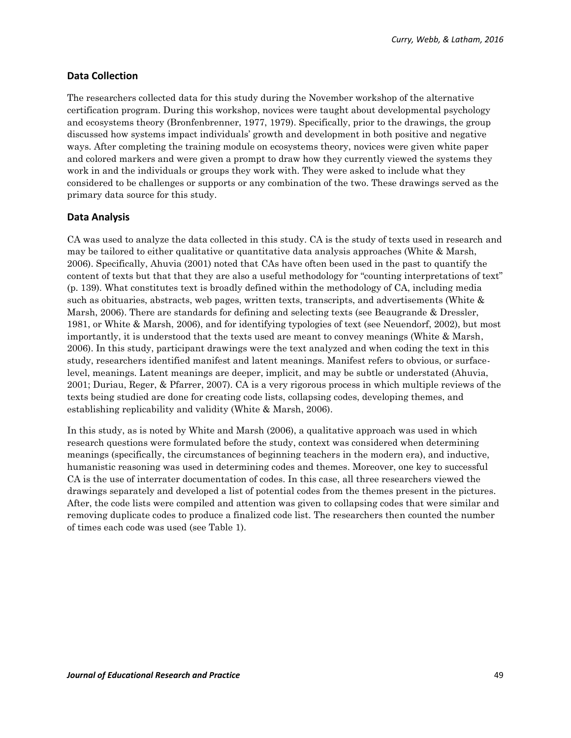### **Data Collection**

The researchers collected data for this study during the November workshop of the alternative certification program. During this workshop, novices were taught about developmental psychology and ecosystems theory (Bronfenbrenner, 1977, 1979). Specifically, prior to the drawings, the group discussed how systems impact individuals' growth and development in both positive and negative ways. After completing the training module on ecosystems theory, novices were given white paper and colored markers and were given a prompt to draw how they currently viewed the systems they work in and the individuals or groups they work with. They were asked to include what they considered to be challenges or supports or any combination of the two. These drawings served as the primary data source for this study.

### **Data Analysis**

CA was used to analyze the data collected in this study. CA is the study of texts used in research and may be tailored to either qualitative or quantitative data analysis approaches (White & Marsh, 2006). Specifically, Ahuvia (2001) noted that CAs have often been used in the past to quantify the content of texts but that that they are also a useful methodology for "counting interpretations of text" (p. 139). What constitutes text is broadly defined within the methodology of CA, including media such as obituaries, abstracts, web pages, written texts, transcripts, and advertisements (White & Marsh, 2006). There are standards for defining and selecting texts (see Beaugrande & Dressler, 1981, or White & Marsh, 2006), and for identifying typologies of text (see Neuendorf, 2002), but most importantly, it is understood that the texts used are meant to convey meanings (White & Marsh, 2006). In this study, participant drawings were the text analyzed and when coding the text in this study, researchers identified manifest and latent meanings. Manifest refers to obvious, or surfacelevel, meanings. Latent meanings are deeper, implicit, and may be subtle or understated (Ahuvia, 2001; Duriau, Reger, & Pfarrer, 2007). CA is a very rigorous process in which multiple reviews of the texts being studied are done for creating code lists, collapsing codes, developing themes, and establishing replicability and validity (White & Marsh, 2006).

In this study, as is noted by White and Marsh (2006), a qualitative approach was used in which research questions were formulated before the study, context was considered when determining meanings (specifically, the circumstances of beginning teachers in the modern era), and inductive, humanistic reasoning was used in determining codes and themes. Moreover, one key to successful CA is the use of interrater documentation of codes. In this case, all three researchers viewed the drawings separately and developed a list of potential codes from the themes present in the pictures. After, the code lists were compiled and attention was given to collapsing codes that were similar and removing duplicate codes to produce a finalized code list. The researchers then counted the number of times each code was used (see Table 1).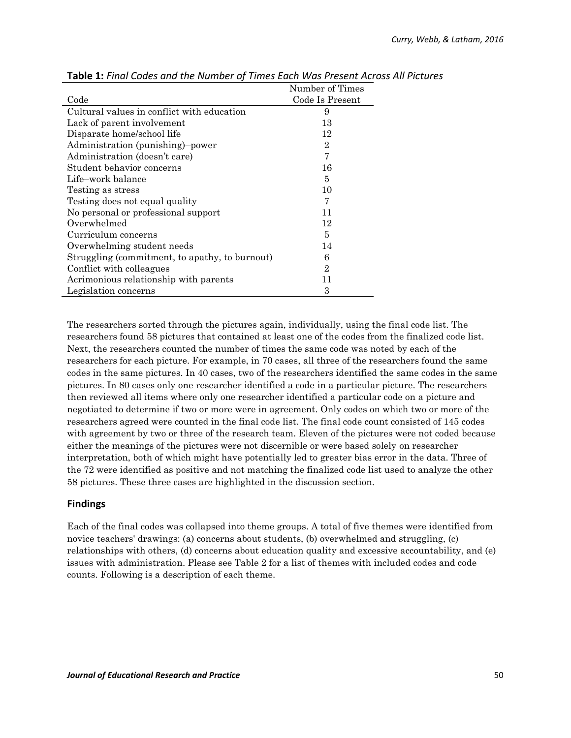|                                                | Number of Times |
|------------------------------------------------|-----------------|
| Code                                           | Code Is Present |
| Cultural values in conflict with education     | 9               |
| Lack of parent involvement                     | 13              |
| Disparate home/school life                     | 12              |
| Administration (punishing)-power               | $\overline{2}$  |
| Administration (doesn't care)                  | 7               |
| Student behavior concerns                      | 16              |
| Life-work balance                              | 5               |
| Testing as stress                              | 10              |
| Testing does not equal quality                 | 7               |
| No personal or professional support            | 11              |
| Overwhelmed                                    | 12              |
| Curriculum concerns                            | 5               |
| Overwhelming student needs                     | 14              |
| Struggling (commitment, to apathy, to burnout) | 6               |
| Conflict with colleagues                       | $\overline{2}$  |
| Acrimonious relationship with parents          | 11              |
| Legislation concerns                           | 3               |

**Table 1:** *Final Codes and the Number of Times Each Was Present Across All Pictures*

The researchers sorted through the pictures again, individually, using the final code list. The researchers found 58 pictures that contained at least one of the codes from the finalized code list. Next, the researchers counted the number of times the same code was noted by each of the researchers for each picture. For example, in 70 cases, all three of the researchers found the same codes in the same pictures. In 40 cases, two of the researchers identified the same codes in the same pictures. In 80 cases only one researcher identified a code in a particular picture. The researchers then reviewed all items where only one researcher identified a particular code on a picture and negotiated to determine if two or more were in agreement. Only codes on which two or more of the researchers agreed were counted in the final code list. The final code count consisted of 145 codes with agreement by two or three of the research team. Eleven of the pictures were not coded because either the meanings of the pictures were not discernible or were based solely on researcher interpretation, both of which might have potentially led to greater bias error in the data. Three of the 72 were identified as positive and not matching the finalized code list used to analyze the other 58 pictures. These three cases are highlighted in the discussion section.

### **Findings**

Each of the final codes was collapsed into theme groups. A total of five themes were identified from novice teachers' drawings: (a) concerns about students, (b) overwhelmed and struggling, (c) relationships with others, (d) concerns about education quality and excessive accountability, and (e) issues with administration. Please see Table 2 for a list of themes with included codes and code counts. Following is a description of each theme.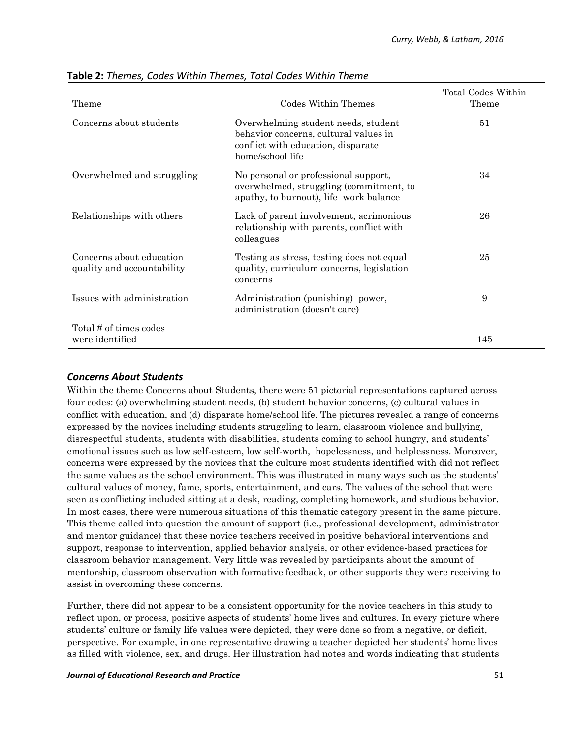| Theme                                                  | Codes Within Themes                                                                                                                    | Total Codes Within<br>Theme |
|--------------------------------------------------------|----------------------------------------------------------------------------------------------------------------------------------------|-----------------------------|
| Concerns about students                                | Overwhelming student needs, student<br>behavior concerns, cultural values in<br>conflict with education, disparate<br>home/school life | 51                          |
| Overwhelmed and struggling                             | No personal or professional support,<br>overwhelmed, struggling (commitment, to<br>apathy, to burnout), life-work balance              | 34                          |
| Relationships with others                              | Lack of parent involvement, acrimonious<br>relationship with parents, conflict with<br>colleagues                                      | 26                          |
| Concerns about education<br>quality and accountability | Testing as stress, testing does not equal<br>quality, curriculum concerns, legislation<br>concerns                                     | 25                          |
| Issues with administration                             | Administration (punishing)-power,<br>administration (doesn't care)                                                                     | 9                           |
| Total # of times codes<br>were identified              |                                                                                                                                        | 145                         |

### **Table 2:** *Themes, Codes Within Themes, Total Codes Within Theme*

### *Concerns About Students*

Within the theme Concerns about Students, there were 51 pictorial representations captured across four codes: (a) overwhelming student needs, (b) student behavior concerns, (c) cultural values in conflict with education, and (d) disparate home/school life. The pictures revealed a range of concerns expressed by the novices including students struggling to learn, classroom violence and bullying, disrespectful students, students with disabilities, students coming to school hungry, and students' emotional issues such as low self-esteem, low self-worth, hopelessness, and helplessness. Moreover, concerns were expressed by the novices that the culture most students identified with did not reflect the same values as the school environment. This was illustrated in many ways such as the students' cultural values of money, fame, sports, entertainment, and cars. The values of the school that were seen as conflicting included sitting at a desk, reading, completing homework, and studious behavior. In most cases, there were numerous situations of this thematic category present in the same picture. This theme called into question the amount of support (i.e., professional development, administrator and mentor guidance) that these novice teachers received in positive behavioral interventions and support, response to intervention, applied behavior analysis, or other evidence-based practices for classroom behavior management. Very little was revealed by participants about the amount of mentorship, classroom observation with formative feedback, or other supports they were receiving to assist in overcoming these concerns.

Further, there did not appear to be a consistent opportunity for the novice teachers in this study to reflect upon, or process, positive aspects of students' home lives and cultures. In every picture where students' culture or family life values were depicted, they were done so from a negative, or deficit, perspective. For example, in one representative drawing a teacher depicted her students' home lives as filled with violence, sex, and drugs. Her illustration had notes and words indicating that students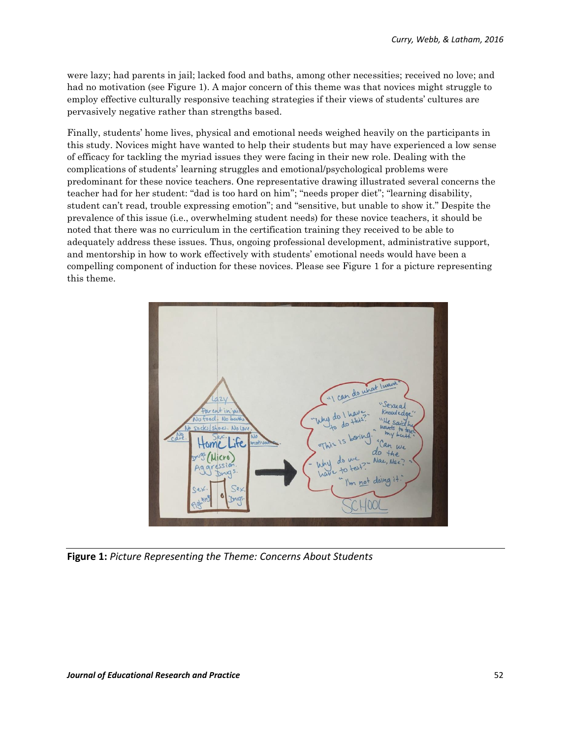were lazy; had parents in jail; lacked food and baths, among other necessities; received no love; and had no motivation (see Figure 1). A major concern of this theme was that novices might struggle to employ effective culturally responsive teaching strategies if their views of students' cultures are pervasively negative rather than strengths based.

Finally, students' home lives, physical and emotional needs weighed heavily on the participants in this study. Novices might have wanted to help their students but may have experienced a low sense of efficacy for tackling the myriad issues they were facing in their new role. Dealing with the complications of students' learning struggles and emotional/psychological problems were predominant for these novice teachers. One representative drawing illustrated several concerns the teacher had for her student: "dad is too hard on him"; "needs proper diet"; "learning disability, student can't read, trouble expressing emotion"; and "sensitive, but unable to show it." Despite the prevalence of this issue (i.e., overwhelming student needs) for these novice teachers, it should be noted that there was no curriculum in the certification training they received to be able to adequately address these issues. Thus, ongoing professional development, administrative support, and mentorship in how to work effectively with students' emotional needs would have been a compelling component of induction for these novices. Please see Figure 1 for a picture representing this theme.



**Figure 1:** *Picture Representing the Theme: Concerns About Students*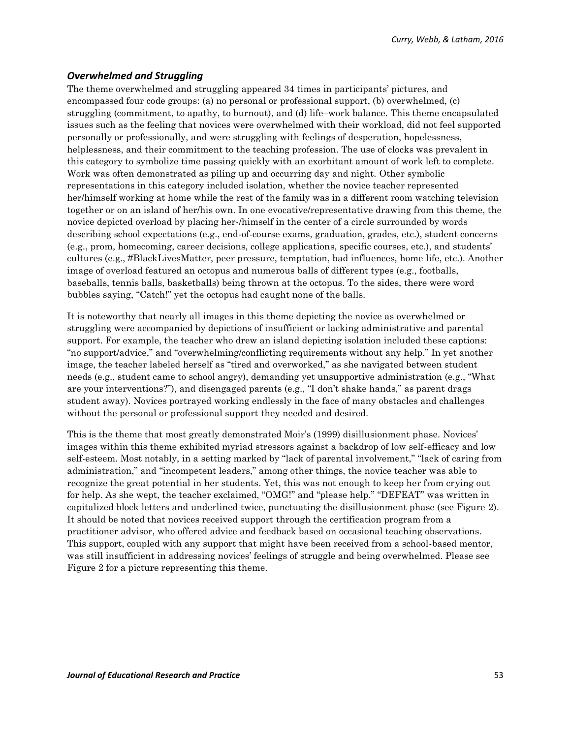### *Overwhelmed and Struggling*

The theme overwhelmed and struggling appeared 34 times in participants' pictures, and encompassed four code groups: (a) no personal or professional support, (b) overwhelmed, (c) struggling (commitment, to apathy, to burnout), and (d) life–work balance. This theme encapsulated issues such as the feeling that novices were overwhelmed with their workload, did not feel supported personally or professionally, and were struggling with feelings of desperation, hopelessness, helplessness, and their commitment to the teaching profession. The use of clocks was prevalent in this category to symbolize time passing quickly with an exorbitant amount of work left to complete. Work was often demonstrated as piling up and occurring day and night. Other symbolic representations in this category included isolation, whether the novice teacher represented her/himself working at home while the rest of the family was in a different room watching television together or on an island of her/his own. In one evocative/representative drawing from this theme, the novice depicted overload by placing her-/himself in the center of a circle surrounded by words describing school expectations (e.g., end-of-course exams, graduation, grades, etc.), student concerns (e.g., prom, homecoming, career decisions, college applications, specific courses, etc.), and students' cultures (e.g., #BlackLivesMatter, peer pressure, temptation, bad influences, home life, etc.). Another image of overload featured an octopus and numerous balls of different types (e.g., footballs, baseballs, tennis balls, basketballs) being thrown at the octopus. To the sides, there were word bubbles saying, "Catch!" yet the octopus had caught none of the balls.

It is noteworthy that nearly all images in this theme depicting the novice as overwhelmed or struggling were accompanied by depictions of insufficient or lacking administrative and parental support. For example, the teacher who drew an island depicting isolation included these captions: "no support/advice," and "overwhelming/conflicting requirements without any help." In yet another image, the teacher labeled herself as "tired and overworked," as she navigated between student needs (e.g., student came to school angry), demanding yet unsupportive administration (e.g., "What are your interventions?"), and disengaged parents (e.g., "I don't shake hands," as parent drags student away). Novices portrayed working endlessly in the face of many obstacles and challenges without the personal or professional support they needed and desired.

This is the theme that most greatly demonstrated Moir's (1999) disillusionment phase. Novices' images within this theme exhibited myriad stressors against a backdrop of low self-efficacy and low self-esteem. Most notably, in a setting marked by "lack of parental involvement," "lack of caring from administration," and "incompetent leaders," among other things, the novice teacher was able to recognize the great potential in her students. Yet, this was not enough to keep her from crying out for help. As she wept, the teacher exclaimed, "OMG!" and "please help." "DEFEAT" was written in capitalized block letters and underlined twice, punctuating the disillusionment phase (see Figure 2). It should be noted that novices received support through the certification program from a practitioner advisor, who offered advice and feedback based on occasional teaching observations. This support, coupled with any support that might have been received from a school-based mentor, was still insufficient in addressing novices' feelings of struggle and being overwhelmed. Please see Figure 2 for a picture representing this theme.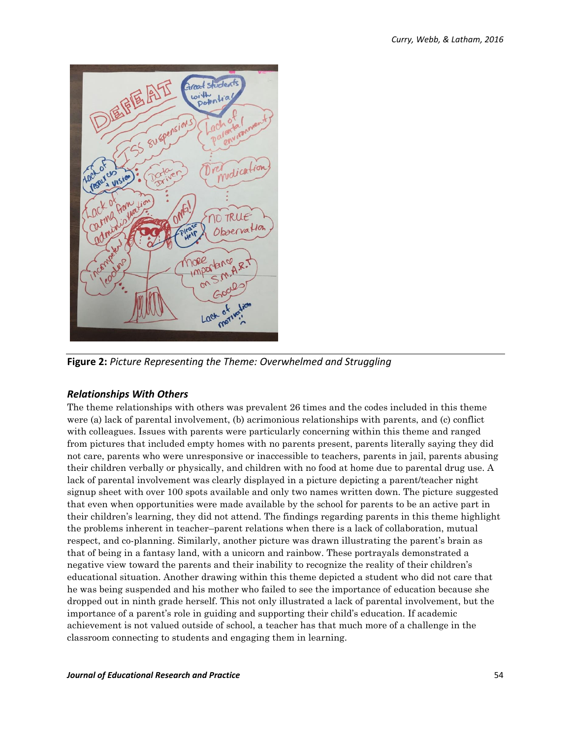

**Figure 2:** *Picture Representing the Theme: Overwhelmed and Struggling*

### *Relationships With Others*

The theme relationships with others was prevalent 26 times and the codes included in this theme were (a) lack of parental involvement, (b) acrimonious relationships with parents, and (c) conflict with colleagues. Issues with parents were particularly concerning within this theme and ranged from pictures that included empty homes with no parents present, parents literally saying they did not care, parents who were unresponsive or inaccessible to teachers, parents in jail, parents abusing their children verbally or physically, and children with no food at home due to parental drug use. A lack of parental involvement was clearly displayed in a picture depicting a parent/teacher night signup sheet with over 100 spots available and only two names written down. The picture suggested that even when opportunities were made available by the school for parents to be an active part in their children's learning, they did not attend. The findings regarding parents in this theme highlight the problems inherent in teacher–parent relations when there is a lack of collaboration, mutual respect, and co-planning. Similarly, another picture was drawn illustrating the parent's brain as that of being in a fantasy land, with a unicorn and rainbow. These portrayals demonstrated a negative view toward the parents and their inability to recognize the reality of their children's educational situation. Another drawing within this theme depicted a student who did not care that he was being suspended and his mother who failed to see the importance of education because she dropped out in ninth grade herself. This not only illustrated a lack of parental involvement, but the importance of a parent's role in guiding and supporting their child's education. If academic achievement is not valued outside of school, a teacher has that much more of a challenge in the classroom connecting to students and engaging them in learning.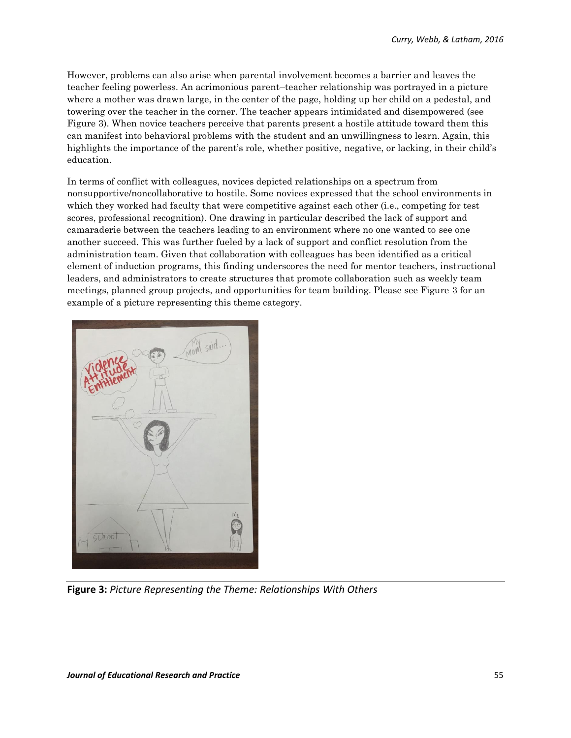However, problems can also arise when parental involvement becomes a barrier and leaves the teacher feeling powerless. An acrimonious parent–teacher relationship was portrayed in a picture where a mother was drawn large, in the center of the page, holding up her child on a pedestal, and towering over the teacher in the corner. The teacher appears intimidated and disempowered (see Figure 3). When novice teachers perceive that parents present a hostile attitude toward them this can manifest into behavioral problems with the student and an unwillingness to learn. Again, this highlights the importance of the parent's role, whether positive, negative, or lacking, in their child's education.

In terms of conflict with colleagues, novices depicted relationships on a spectrum from nonsupportive/noncollaborative to hostile. Some novices expressed that the school environments in which they worked had faculty that were competitive against each other (i.e., competing for test scores, professional recognition). One drawing in particular described the lack of support and camaraderie between the teachers leading to an environment where no one wanted to see one another succeed. This was further fueled by a lack of support and conflict resolution from the administration team. Given that collaboration with colleagues has been identified as a critical element of induction programs, this finding underscores the need for mentor teachers, instructional leaders, and administrators to create structures that promote collaboration such as weekly team meetings, planned group projects, and opportunities for team building. Please see Figure 3 for an example of a picture representing this theme category.



**Figure 3:** *Picture Representing the Theme: Relationships With Others*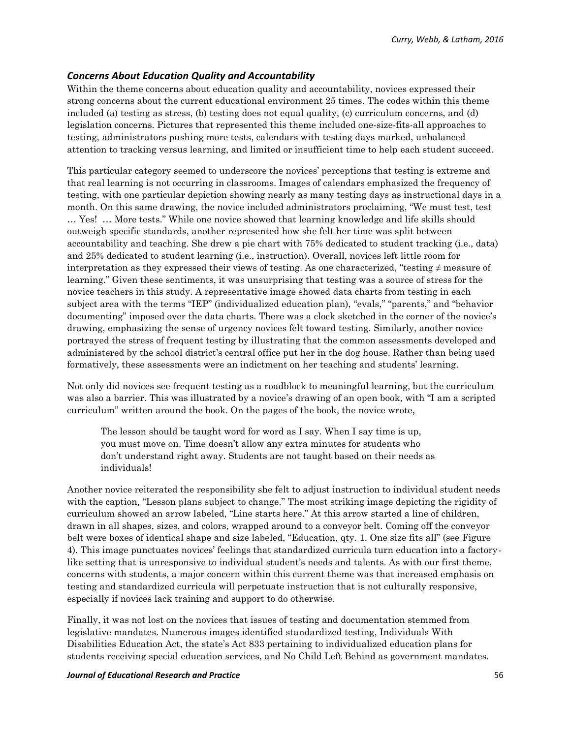### *Concerns About Education Quality and Accountability*

Within the theme concerns about education quality and accountability, novices expressed their strong concerns about the current educational environment 25 times. The codes within this theme included (a) testing as stress, (b) testing does not equal quality, (c) curriculum concerns, and (d) legislation concerns. Pictures that represented this theme included one-size-fits-all approaches to testing, administrators pushing more tests, calendars with testing days marked, unbalanced attention to tracking versus learning, and limited or insufficient time to help each student succeed.

This particular category seemed to underscore the novices' perceptions that testing is extreme and that real learning is not occurring in classrooms. Images of calendars emphasized the frequency of testing, with one particular depiction showing nearly as many testing days as instructional days in a month. On this same drawing, the novice included administrators proclaiming, "We must test, test … Yes! … More tests." While one novice showed that learning knowledge and life skills should outweigh specific standards, another represented how she felt her time was split between accountability and teaching. She drew a pie chart with 75% dedicated to student tracking (i.e., data) and 25% dedicated to student learning (i.e., instruction). Overall, novices left little room for interpretation as they expressed their views of testing. As one characterized, "testing  $\neq$  measure of learning." Given these sentiments, it was unsurprising that testing was a source of stress for the novice teachers in this study. A representative image showed data charts from testing in each subject area with the terms "IEP" (individualized education plan), "evals," "parents," and "behavior documenting" imposed over the data charts. There was a clock sketched in the corner of the novice's drawing, emphasizing the sense of urgency novices felt toward testing. Similarly, another novice portrayed the stress of frequent testing by illustrating that the common assessments developed and administered by the school district's central office put her in the dog house. Rather than being used formatively, these assessments were an indictment on her teaching and students' learning.

Not only did novices see frequent testing as a roadblock to meaningful learning, but the curriculum was also a barrier. This was illustrated by a novice's drawing of an open book, with "I am a scripted curriculum" written around the book. On the pages of the book, the novice wrote,

The lesson should be taught word for word as I say. When I say time is up, you must move on. Time doesn't allow any extra minutes for students who don't understand right away. Students are not taught based on their needs as individuals!

Another novice reiterated the responsibility she felt to adjust instruction to individual student needs with the caption, "Lesson plans subject to change." The most striking image depicting the rigidity of curriculum showed an arrow labeled, "Line starts here." At this arrow started a line of children, drawn in all shapes, sizes, and colors, wrapped around to a conveyor belt. Coming off the conveyor belt were boxes of identical shape and size labeled, "Education, qty. 1. One size fits all" (see Figure 4). This image punctuates novices' feelings that standardized curricula turn education into a factorylike setting that is unresponsive to individual student's needs and talents. As with our first theme, concerns with students, a major concern within this current theme was that increased emphasis on testing and standardized curricula will perpetuate instruction that is not culturally responsive, especially if novices lack training and support to do otherwise.

Finally, it was not lost on the novices that issues of testing and documentation stemmed from legislative mandates. Numerous images identified standardized testing, Individuals With Disabilities Education Act, the state's Act 833 pertaining to individualized education plans for students receiving special education services, and No Child Left Behind as government mandates.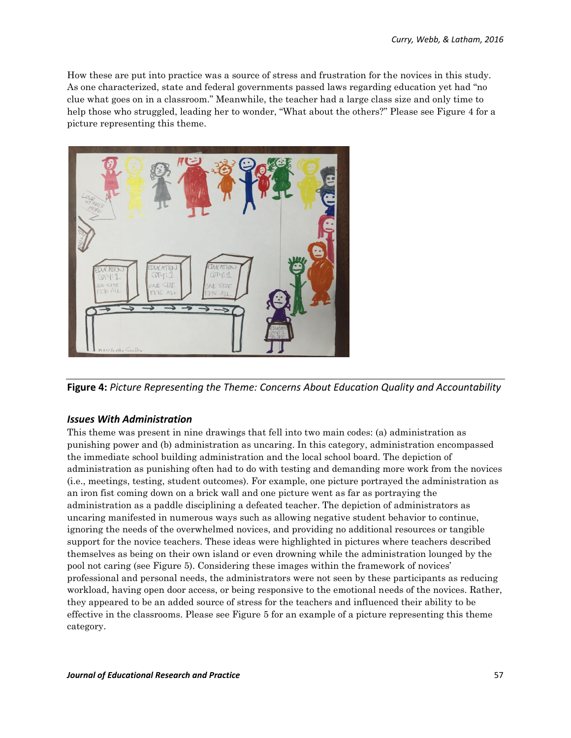How these are put into practice was a source of stress and frustration for the novices in this study. As one characterized, state and federal governments passed laws regarding education yet had "no clue what goes on in a classroom." Meanwhile, the teacher had a large class size and only time to help those who struggled, leading her to wonder, "What about the others?" Please see Figure 4 for a picture representing this theme.



**Figure 4:** *Picture Representing the Theme: Concerns About Education Quality and Accountability*

### *Issues With Administration*

This theme was present in nine drawings that fell into two main codes: (a) administration as punishing power and (b) administration as uncaring. In this category, administration encompassed the immediate school building administration and the local school board. The depiction of administration as punishing often had to do with testing and demanding more work from the novices (i.e., meetings, testing, student outcomes). For example, one picture portrayed the administration as an iron fist coming down on a brick wall and one picture went as far as portraying the administration as a paddle disciplining a defeated teacher. The depiction of administrators as uncaring manifested in numerous ways such as allowing negative student behavior to continue, ignoring the needs of the overwhelmed novices, and providing no additional resources or tangible support for the novice teachers. These ideas were highlighted in pictures where teachers described themselves as being on their own island or even drowning while the administration lounged by the pool not caring (see Figure 5). Considering these images within the framework of novices' professional and personal needs, the administrators were not seen by these participants as reducing workload, having open door access, or being responsive to the emotional needs of the novices. Rather, they appeared to be an added source of stress for the teachers and influenced their ability to be effective in the classrooms. Please see Figure 5 for an example of a picture representing this theme category.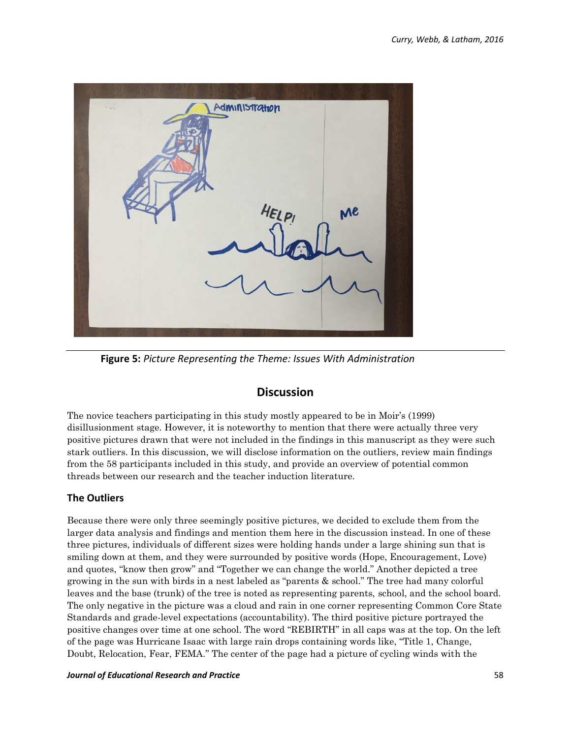| $\begin{array}{c} \mathbb{L} & \mathbb{L}_{\mathcal{A}} \\ \mathbb{L}_{\mathcal{A}} & \mathbb{L}_{\mathcal{A}} \end{array}$ | Administration |    |  |
|-----------------------------------------------------------------------------------------------------------------------------|----------------|----|--|
|                                                                                                                             |                |    |  |
|                                                                                                                             |                |    |  |
|                                                                                                                             |                |    |  |
|                                                                                                                             |                |    |  |
|                                                                                                                             | HELPI          | Me |  |
|                                                                                                                             |                |    |  |
|                                                                                                                             |                |    |  |
|                                                                                                                             |                |    |  |
|                                                                                                                             |                |    |  |

**Figure 5:** *Picture Representing the Theme: Issues With Administration*

## **Discussion**

The novice teachers participating in this study mostly appeared to be in Moir's (1999) disillusionment stage. However, it is noteworthy to mention that there were actually three very positive pictures drawn that were not included in the findings in this manuscript as they were such stark outliers. In this discussion, we will disclose information on the outliers, review main findings from the 58 participants included in this study, and provide an overview of potential common threads between our research and the teacher induction literature.

### **The Outliers**

Because there were only three seemingly positive pictures, we decided to exclude them from the larger data analysis and findings and mention them here in the discussion instead. In one of these three pictures, individuals of different sizes were holding hands under a large shining sun that is smiling down at them, and they were surrounded by positive words (Hope, Encouragement, Love) and quotes, "know then grow" and "Together we can change the world." Another depicted a tree growing in the sun with birds in a nest labeled as "parents & school." The tree had many colorful leaves and the base (trunk) of the tree is noted as representing parents, school, and the school board. The only negative in the picture was a cloud and rain in one corner representing Common Core State Standards and grade-level expectations (accountability). The third positive picture portrayed the positive changes over time at one school. The word "REBIRTH" in all caps was at the top. On the left of the page was Hurricane Isaac with large rain drops containing words like, "Title 1, Change, Doubt, Relocation, Fear, FEMA." The center of the page had a picture of cycling winds with the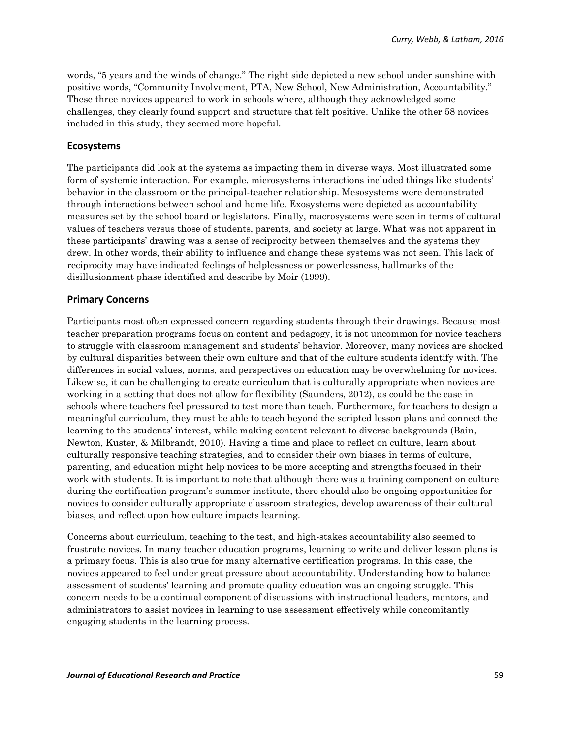words, "5 years and the winds of change." The right side depicted a new school under sunshine with positive words, "Community Involvement, PTA, New School, New Administration, Accountability." These three novices appeared to work in schools where, although they acknowledged some challenges, they clearly found support and structure that felt positive. Unlike the other 58 novices included in this study, they seemed more hopeful.

#### **Ecosystems**

The participants did look at the systems as impacting them in diverse ways. Most illustrated some form of systemic interaction. For example, microsystems interactions included things like students' behavior in the classroom or the principal-teacher relationship. Mesosystems were demonstrated through interactions between school and home life. Exosystems were depicted as accountability measures set by the school board or legislators. Finally, macrosystems were seen in terms of cultural values of teachers versus those of students, parents, and society at large. What was not apparent in these participants' drawing was a sense of reciprocity between themselves and the systems they drew. In other words, their ability to influence and change these systems was not seen. This lack of reciprocity may have indicated feelings of helplessness or powerlessness, hallmarks of the disillusionment phase identified and describe by Moir (1999).

### **Primary Concerns**

Participants most often expressed concern regarding students through their drawings. Because most teacher preparation programs focus on content and pedagogy, it is not uncommon for novice teachers to struggle with classroom management and students' behavior. Moreover, many novices are shocked by cultural disparities between their own culture and that of the culture students identify with. The differences in social values, norms, and perspectives on education may be overwhelming for novices. Likewise, it can be challenging to create curriculum that is culturally appropriate when novices are working in a setting that does not allow for flexibility (Saunders, 2012), as could be the case in schools where teachers feel pressured to test more than teach. Furthermore, for teachers to design a meaningful curriculum, they must be able to teach beyond the scripted lesson plans and connect the learning to the students' interest, while making content relevant to diverse backgrounds (Bain, Newton, Kuster, & Milbrandt, 2010). Having a time and place to reflect on culture, learn about culturally responsive teaching strategies, and to consider their own biases in terms of culture, parenting, and education might help novices to be more accepting and strengths focused in their work with students. It is important to note that although there was a training component on culture during the certification program's summer institute, there should also be ongoing opportunities for novices to consider culturally appropriate classroom strategies, develop awareness of their cultural biases, and reflect upon how culture impacts learning.

Concerns about curriculum, teaching to the test, and high-stakes accountability also seemed to frustrate novices. In many teacher education programs, learning to write and deliver lesson plans is a primary focus. This is also true for many alternative certification programs. In this case, the novices appeared to feel under great pressure about accountability. Understanding how to balance assessment of students' learning and promote quality education was an ongoing struggle. This concern needs to be a continual component of discussions with instructional leaders, mentors, and administrators to assist novices in learning to use assessment effectively while concomitantly engaging students in the learning process.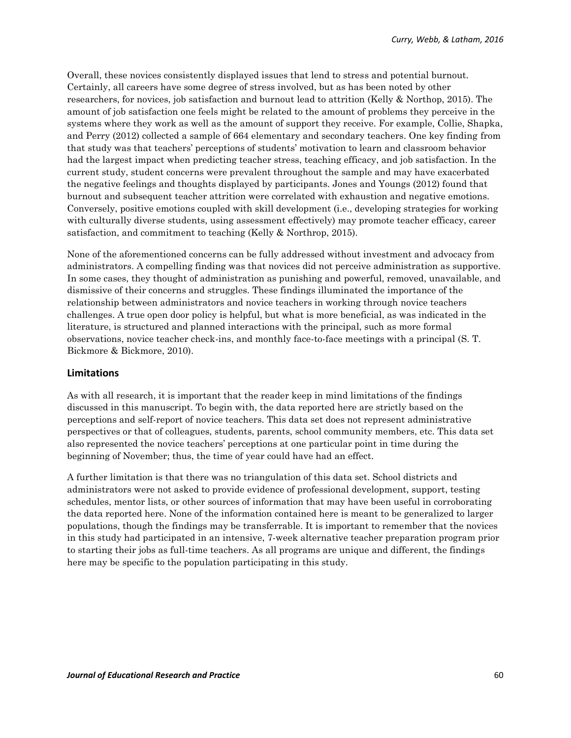Overall, these novices consistently displayed issues that lend to stress and potential burnout. Certainly, all careers have some degree of stress involved, but as has been noted by other researchers, for novices, job satisfaction and burnout lead to attrition (Kelly & Northop, 2015). The amount of job satisfaction one feels might be related to the amount of problems they perceive in the systems where they work as well as the amount of support they receive. For example, Collie, Shapka, and Perry (2012) collected a sample of 664 elementary and secondary teachers. One key finding from that study was that teachers' perceptions of students' motivation to learn and classroom behavior had the largest impact when predicting teacher stress, teaching efficacy, and job satisfaction. In the current study, student concerns were prevalent throughout the sample and may have exacerbated the negative feelings and thoughts displayed by participants. Jones and Youngs (2012) found that burnout and subsequent teacher attrition were correlated with exhaustion and negative emotions. Conversely, positive emotions coupled with skill development (i.e., developing strategies for working with culturally diverse students, using assessment effectively) may promote teacher efficacy, career satisfaction, and commitment to teaching (Kelly & Northrop, 2015).

None of the aforementioned concerns can be fully addressed without investment and advocacy from administrators. A compelling finding was that novices did not perceive administration as supportive. In some cases, they thought of administration as punishing and powerful, removed, unavailable, and dismissive of their concerns and struggles. These findings illuminated the importance of the relationship between administrators and novice teachers in working through novice teachers challenges. A true open door policy is helpful, but what is more beneficial, as was indicated in the literature, is structured and planned interactions with the principal, such as more formal observations, novice teacher check-ins, and monthly face-to-face meetings with a principal (S. T. Bickmore & Bickmore, 2010).

#### **Limitations**

As with all research, it is important that the reader keep in mind limitations of the findings discussed in this manuscript. To begin with, the data reported here are strictly based on the perceptions and self-report of novice teachers. This data set does not represent administrative perspectives or that of colleagues, students, parents, school community members, etc. This data set also represented the novice teachers' perceptions at one particular point in time during the beginning of November; thus, the time of year could have had an effect.

A further limitation is that there was no triangulation of this data set. School districts and administrators were not asked to provide evidence of professional development, support, testing schedules, mentor lists, or other sources of information that may have been useful in corroborating the data reported here. None of the information contained here is meant to be generalized to larger populations, though the findings may be transferrable. It is important to remember that the novices in this study had participated in an intensive, 7-week alternative teacher preparation program prior to starting their jobs as full-time teachers. As all programs are unique and different, the findings here may be specific to the population participating in this study.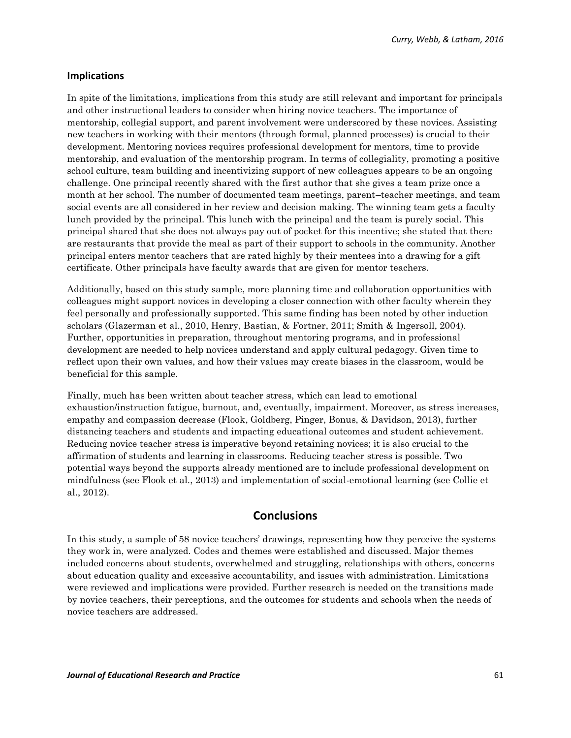#### **Implications**

In spite of the limitations, implications from this study are still relevant and important for principals and other instructional leaders to consider when hiring novice teachers. The importance of mentorship, collegial support, and parent involvement were underscored by these novices. Assisting new teachers in working with their mentors (through formal, planned processes) is crucial to their development. Mentoring novices requires professional development for mentors, time to provide mentorship, and evaluation of the mentorship program. In terms of collegiality, promoting a positive school culture, team building and incentivizing support of new colleagues appears to be an ongoing challenge. One principal recently shared with the first author that she gives a team prize once a month at her school. The number of documented team meetings, parent–teacher meetings, and team social events are all considered in her review and decision making. The winning team gets a faculty lunch provided by the principal. This lunch with the principal and the team is purely social. This principal shared that she does not always pay out of pocket for this incentive; she stated that there are restaurants that provide the meal as part of their support to schools in the community. Another principal enters mentor teachers that are rated highly by their mentees into a drawing for a gift certificate. Other principals have faculty awards that are given for mentor teachers.

Additionally, based on this study sample, more planning time and collaboration opportunities with colleagues might support novices in developing a closer connection with other faculty wherein they feel personally and professionally supported. This same finding has been noted by other induction scholars (Glazerman et al., 2010, Henry, Bastian, & Fortner, 2011; Smith & Ingersoll, 2004). Further, opportunities in preparation, throughout mentoring programs, and in professional development are needed to help novices understand and apply cultural pedagogy. Given time to reflect upon their own values, and how their values may create biases in the classroom, would be beneficial for this sample.

Finally, much has been written about teacher stress, which can lead to emotional exhaustion/instruction fatigue, burnout, and, eventually, impairment. Moreover, as stress increases, empathy and compassion decrease (Flook, Goldberg, Pinger, Bonus, & Davidson, 2013), further distancing teachers and students and impacting educational outcomes and student achievement. Reducing novice teacher stress is imperative beyond retaining novices; it is also crucial to the affirmation of students and learning in classrooms. Reducing teacher stress is possible. Two potential ways beyond the supports already mentioned are to include professional development on mindfulness (see Flook et al., 2013) and implementation of social-emotional learning (see Collie et al., 2012).

### **Conclusions**

In this study, a sample of 58 novice teachers' drawings, representing how they perceive the systems they work in, were analyzed. Codes and themes were established and discussed. Major themes included concerns about students, overwhelmed and struggling, relationships with others, concerns about education quality and excessive accountability, and issues with administration. Limitations were reviewed and implications were provided. Further research is needed on the transitions made by novice teachers, their perceptions, and the outcomes for students and schools when the needs of novice teachers are addressed.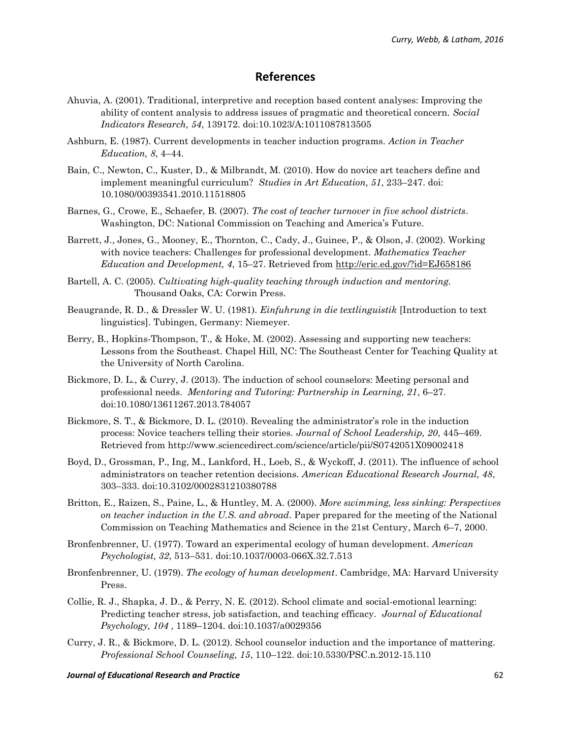### **References**

- Ahuvia, A. (2001). Traditional, interpretive and reception based content analyses: Improving the ability of content analysis to address issues of pragmatic and theoretical concern. *Social Indicators Research, 54*, 139172. doi:10.1023/A:1011087813505
- Ashburn, E. (1987). Current developments in teacher induction programs. *Action in Teacher Education, 8*, 4–44.
- Bain, C., Newton, C., Kuster, D., & Milbrandt, M. (2010). How do novice art teachers define and implement meaningful curriculum? *Studies in Art Education, 51*, 233–247. doi: 10.1080/00393541.2010.11518805
- Barnes, G., Crowe, E., Schaefer, B. (2007). *The cost of teacher turnover in five school districts*. Washington, DC: National Commission on Teaching and America's Future.
- Barrett, J., Jones, G., Mooney, E., Thornton, C., Cady, J., Guinee, P., & Olson, J. (2002). Working with novice teachers: Challenges for professional development. *Mathematics Teacher Education and Development, 4*, 15–27. Retrieved from<http://eric.ed.gov/?id=EJ658186>
- Bartell, A. C. (2005). *Cultivating high-quality teaching through induction and mentoring.* Thousand Oaks, CA: Corwin Press.
- Beaugrande, R. D., & Dressler W. U. (1981). *Einfuhrung in die textlinguistik* [Introduction to text linguistics]. Tubingen, Germany: Niemeyer.
- Berry, B., Hopkins-Thompson, T., & Hoke, M. (2002). Assessing and supporting new teachers: Lessons from the Southeast. Chapel Hill, NC: The Southeast Center for Teaching Quality at the University of North Carolina.
- Bickmore, D. L., & Curry, J. (2013). The induction of school counselors: Meeting personal and professional needs. *Mentoring and Tutoring: Partnership in Learning, 21*, 6–27. doi:10.1080/13611267.2013.784057
- Bickmore, S. T., & Bickmore, D. L. (2010). Revealing the administrator's role in the induction process: Novice teachers telling their stories. *Journal of School Leadership, 20*, 445–469. Retrieved from http://www.sciencedirect.com/science/article/pii/S0742051X09002418
- Boyd, D., Grossman, P., Ing, M., Lankford, H., Loeb, S., & Wyckoff, J. (2011). The influence of school administrators on teacher retention decisions. *American Educational Research Journal, 48*, 303–333. doi:10.3102/0002831210380788
- Britton, E., Raizen, S., Paine, L., & Huntley, M. A. (2000). *More swimming, less sinking: Perspectives on teacher induction in the U.S. and abroad*. Paper prepared for the meeting of the National Commission on Teaching Mathematics and Science in the 21st Century, March 6–7, 2000.
- Bronfenbrenner, U. (1977). Toward an experimental ecology of human development. *American Psychologist, 32*, 513–531. doi:10.1037/0003-066X.32.7.513
- Bronfenbrenner, U. (1979). *The ecology of human development*. Cambridge, MA: Harvard University Press.
- Collie, R. J., Shapka, J. D., & Perry, N. E. (2012). School climate and social-emotional learning: Predicting teacher stress, job satisfaction, and teaching efficacy. *Journal of Educational Psychology, 104* , 1189–1204. doi:10.1037/a0029356
- Curry, J. R., & Bickmore, D. L. (2012). School counselor induction and the importance of mattering. *Professional School Counseling, 15*, 110–122. doi:10.5330/PSC.n.2012-15.110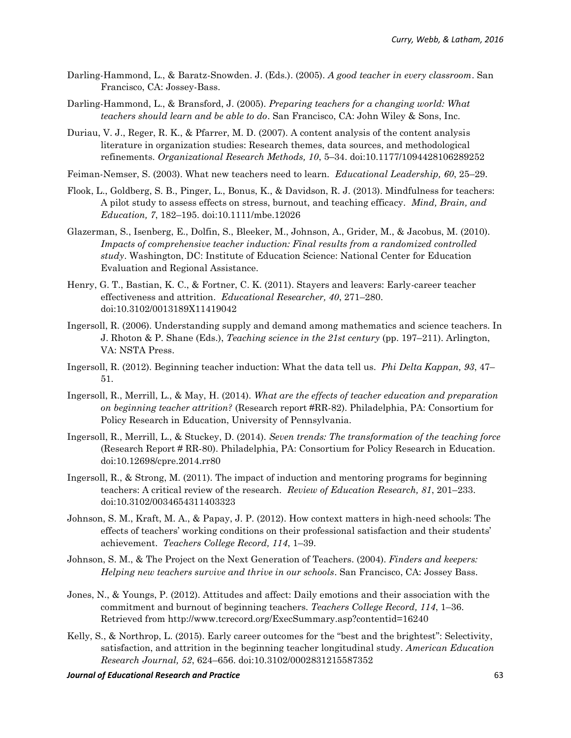- Darling-Hammond, L., & Baratz-Snowden. J. (Eds.). (2005). *A good teacher in every classroom*. San Francisco, CA: Jossey-Bass.
- Darling-Hammond, L., & Bransford, J. (2005). *Preparing teachers for a changing world: What teachers should learn and be able to do*. San Francisco, CA: John Wiley & Sons, Inc.
- Duriau, V. J., Reger, R. K., & Pfarrer, M. D. (2007). A content analysis of the content analysis literature in organization studies: Research themes, data sources, and methodological refinements. *Organizational Research Methods, 10*, 5–34. doi:10.1177/1094428106289252
- Feiman-Nemser, S. (2003). What new teachers need to learn. *Educational Leadership, 60*, 25–29.
- Flook, L., Goldberg, S. B., Pinger, L., Bonus, K., & Davidson, R. J. (2013). Mindfulness for teachers: A pilot study to assess effects on stress, burnout, and teaching efficacy. *Mind, Brain, and Education, 7*, 182–195. doi:10.1111/mbe.12026
- Glazerman, S., Isenberg, E., Dolfin, S., Bleeker, M., Johnson, A., Grider, M., & Jacobus, M. (2010). *Impacts of comprehensive teacher induction: Final results from a randomized controlled study*. Washington, DC: Institute of Education Science: National Center for Education Evaluation and Regional Assistance.
- Henry, G. T., Bastian, K. C., & Fortner, C. K. (2011). Stayers and leavers: Early-career teacher effectiveness and attrition. *Educational Researcher, 40*, 271–280. doi:10.3102/0013189X11419042
- Ingersoll, R. (2006). Understanding supply and demand among mathematics and science teachers. In J. Rhoton & P. Shane (Eds.), *Teaching science in the 21st century* (pp. 197–211). Arlington, VA: NSTA Press.
- Ingersoll, R. (2012). Beginning teacher induction: What the data tell us. *Phi Delta Kappan, 93*, 47– 51.
- Ingersoll, R., Merrill, L., & May, H. (2014). *What are the effects of teacher education and preparation on beginning teacher attrition?* (Research report #RR-82). Philadelphia, PA: Consortium for Policy Research in Education, University of Pennsylvania.
- Ingersoll, R., Merrill, L., & Stuckey, D. (2014). *Seven trends: The transformation of the teaching force* (Research Report # RR-80). Philadelphia, PA: Consortium for Policy Research in Education. doi:10.12698/cpre.2014.rr80
- Ingersoll, R., & Strong, M. (2011). The impact of induction and mentoring programs for beginning teachers: A critical review of the research. *Review of Education Research, 81*, 201–233. doi:10.3102/0034654311403323
- Johnson, S. M., Kraft, M. A., & Papay, J. P. (2012). How context matters in high-need schools: The effects of teachers' working conditions on their professional satisfaction and their students' achievement. *Teachers College Record, 114*, 1–39.
- Johnson, S. M., & The Project on the Next Generation of Teachers. (2004). *Finders and keepers: Helping new teachers survive and thrive in our schools*. San Francisco, CA: Jossey Bass.
- Jones, N., & Youngs, P. (2012). Attitudes and affect: Daily emotions and their association with the commitment and burnout of beginning teachers. *Teachers College Record, 114*, 1–36. Retrieved from http://www.tcrecord.org/ExecSummary.asp?contentid=16240
- Kelly, S., & Northrop, L. (2015). Early career outcomes for the "best and the brightest": Selectivity, satisfaction, and attrition in the beginning teacher longitudinal study. *American Education Research Journal, 52*, 624–656. doi:10.3102/0002831215587352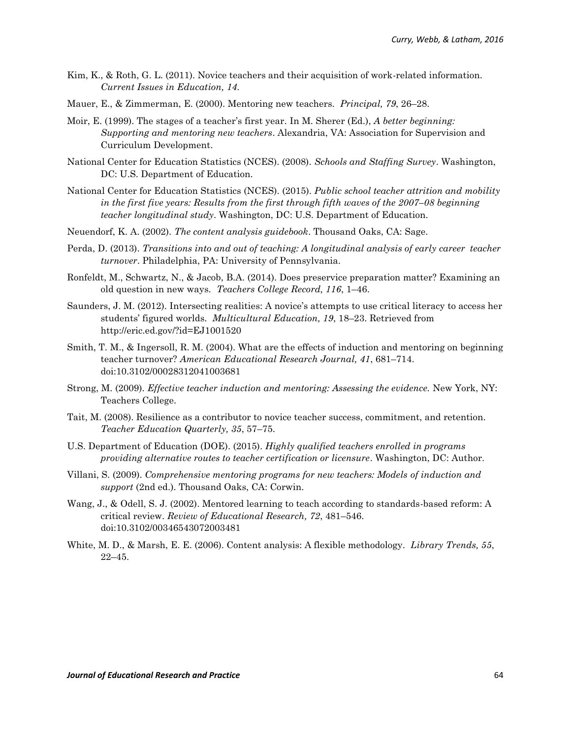- Kim, K., & Roth, G. L. (2011). Novice teachers and their acquisition of work-related information. *Current Issues in Education, 14*.
- Mauer, E., & Zimmerman, E. (2000). Mentoring new teachers. *Principal, 79*, 26–28.
- Moir, E. (1999). The stages of a teacher's first year. In M. Sherer (Ed.), *A better beginning: Supporting and mentoring new teachers*. Alexandria, VA: Association for Supervision and Curriculum Development.
- National Center for Education Statistics (NCES). (2008). *Schools and Staffing Survey*. Washington, DC: U.S. Department of Education.
- National Center for Education Statistics (NCES). (2015). *Public school teacher attrition and mobility in the first five years: Results from the first through fifth waves of the 2007–08 beginning teacher longitudinal study*. Washington, DC: U.S. Department of Education.
- Neuendorf, K. A. (2002). *The content analysis guidebook*. Thousand Oaks, CA: Sage.
- Perda, D. (2013). *Transitions into and out of teaching: A longitudinal analysis of early career teacher turnover*. Philadelphia, PA: University of Pennsylvania.
- Ronfeldt, M., Schwartz, N., & Jacob, B.A. (2014). Does preservice preparation matter? Examining an old question in new ways. *Teachers College Record, 116*, 1–46.
- Saunders, J. M. (2012). Intersecting realities: A novice's attempts to use critical literacy to access her students' figured worlds. *Multicultural Education, 19*, 18–23. Retrieved from http://eric.ed.gov/?id=EJ1001520
- Smith, T. M., & Ingersoll, R. M. (2004). What are the effects of induction and mentoring on beginning teacher turnover? *American Educational Research Journal, 41*, 681–714. doi:10.3102/00028312041003681
- Strong, M. (2009). *Effective teacher induction and mentoring: Assessing the evidence.* New York, NY: Teachers College.
- Tait, M. (2008). Resilience as a contributor to novice teacher success, commitment, and retention. *Teacher Education Quarterly, 35*, 57–75.
- U.S. Department of Education (DOE). (2015). *Highly qualified teachers enrolled in programs providing alternative routes to teacher certification or licensure*. Washington, DC: Author.
- Villani, S. (2009). *Comprehensive mentoring programs for new teachers: Models of induction and support* (2nd ed.). Thousand Oaks, CA: Corwin.
- Wang, J., & Odell, S. J. (2002). Mentored learning to teach according to standards-based reform: A critical review. *Review of Educational Research, 72*, 481–546. doi:10.3102/00346543072003481
- White, M. D., & Marsh, E. E. (2006). Content analysis: A flexible methodology. *Library Trends, 55*, 22–45.